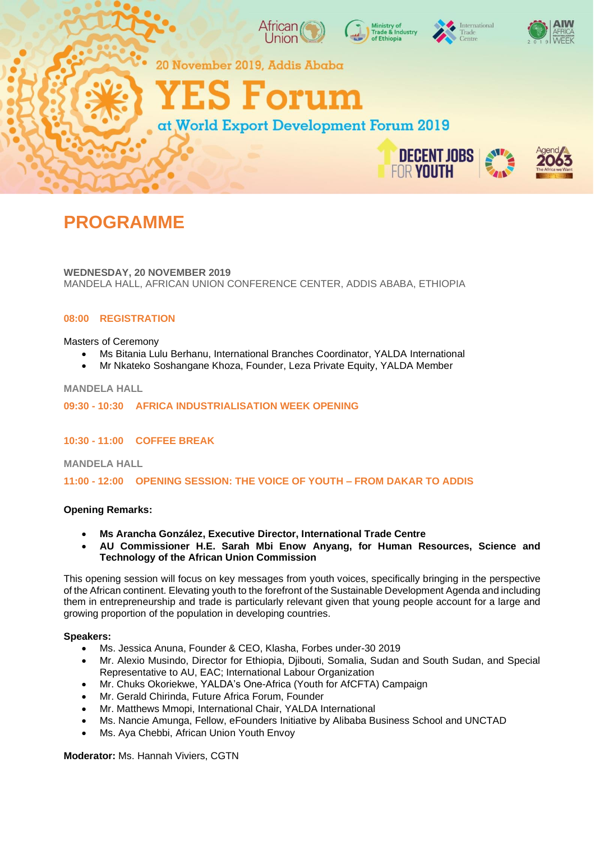

**DECENT JOBS FOR YOUTH** 



**WEDNESDAY, 20 NOVEMBER 2019** MANDELA HALL, AFRICAN UNION CONFERENCE CENTER, ADDIS ABABA, ETHIOPIA

# **08:00 REGISTRATION**

Masters of Ceremony

- Ms Bitania Lulu Berhanu, International Branches Coordinator, YALDA International
- Mr Nkateko Soshangane Khoza, Founder, Leza Private Equity, YALDA Member

### **MANDELA HALL**

### **09:30 - 10:30 AFRICA INDUSTRIALISATION WEEK OPENING**

**10:30 - 11:00 COFFEE BREAK**

**MANDELA HALL**

**11:00 - 12:00 OPENING SESSION: THE VOICE OF YOUTH – FROM DAKAR TO ADDIS**

### **Opening Remarks:**

- **Ms Arancha González, Executive Director, International Trade Centre**
- **AU Commissioner H.E. Sarah Mbi Enow Anyang, for Human Resources, Science and Technology of the African Union Commission**

This opening session will focus on key messages from youth voices, specifically bringing in the perspective of the African continent. Elevating youth to the forefront of the Sustainable Development Agenda and including them in entrepreneurship and trade is particularly relevant given that young people account for a large and growing proportion of the population in developing countries.

### **Speakers:**

- Ms. Jessica Anuna, Founder & CEO, Klasha, Forbes under-30 2019
- Mr. Alexio Musindo, Director for Ethiopia, Djibouti, Somalia, Sudan and South Sudan, and Special Representative to AU, EAC; International Labour Organization
- Mr. Chuks Okoriekwe, YALDA's One-Africa (Youth for AfCFTA) Campaign
- Mr. Gerald Chirinda, Future Africa Forum, Founder
- Mr. Matthews Mmopi, International Chair, YALDA International
- Ms. Nancie Amunga, Fellow, eFounders Initiative by Alibaba Business School and UNCTAD
- Ms. Aya Chebbi, African Union Youth Envoy

**Moderator:** Ms. Hannah Viviers, CGTN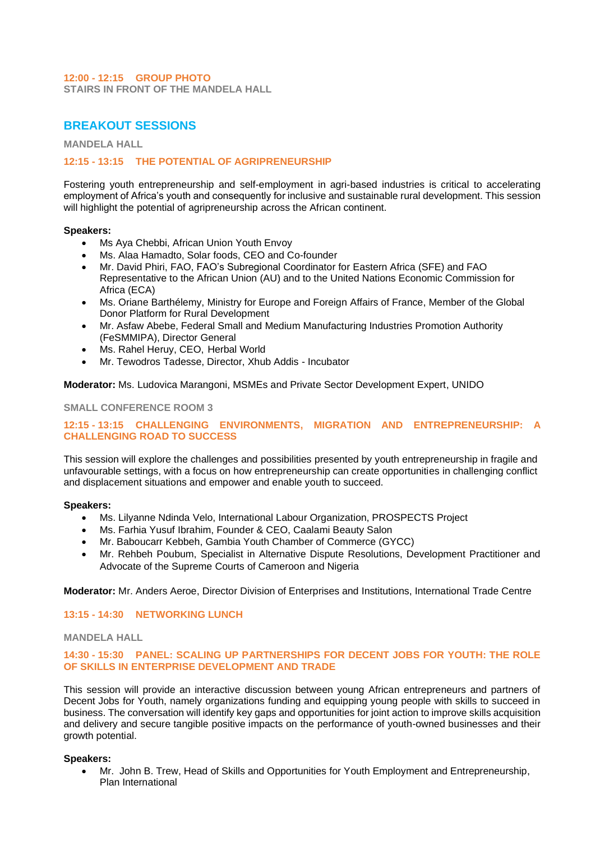# **12:00 - 12:15 GROUP PHOTO**

**STAIRS IN FRONT OF THE MANDELA HALL**

# **BREAKOUT SESSIONS**

**MANDELA HALL**

### **12:15 - 13:15 THE POTENTIAL OF AGRIPRENEURSHIP**

Fostering youth entrepreneurship and self-employment in agri-based industries is critical to accelerating employment of Africa's youth and consequently for inclusive and sustainable rural development. This session will highlight the potential of agripreneurship across the African continent.

### **Speakers:**

- Ms Aya Chebbi, African Union Youth Envoy
- Ms. Alaa Hamadto, Solar foods, CEO and Co-founder
- Mr. David Phiri, FAO, FAO's Subregional Coordinator for Eastern Africa (SFE) and FAO Representative to the African Union (AU) and to the United Nations Economic Commission for Africa (ECA)
- Ms. Oriane Barthélemy, Ministry for Europe and Foreign Affairs of France, Member of the Global Donor Platform for Rural Development
- Mr. Asfaw Abebe, Federal Small and Medium Manufacturing Industries Promotion Authority (FeSMMIPA), Director General
- Ms. Rahel Heruy, CEO, Herbal World
- Mr. Tewodros Tadesse, Director, Xhub Addis Incubator

**Moderator:** Ms. Ludovica Marangoni, MSMEs and Private Sector Development Expert, UNIDO

### **SMALL CONFERENCE ROOM 3**

# **12:15 - 13:15 CHALLENGING ENVIRONMENTS, MIGRATION AND ENTREPRENEURSHIP: A CHALLENGING ROAD TO SUCCESS**

This session will explore the challenges and possibilities presented by youth entrepreneurship in fragile and unfavourable settings, with a focus on how entrepreneurship can create opportunities in challenging conflict and displacement situations and empower and enable youth to succeed.

#### **Speakers:**

- Ms. Lilyanne Ndinda Velo, International Labour Organization, PROSPECTS Project
- Ms. Farhia Yusuf Ibrahim, Founder & CEO, Caalami Beauty Salon
- Mr. Baboucarr Kebbeh, Gambia Youth Chamber of Commerce (GYCC)
- Mr. Rehbeh Poubum, Specialist in Alternative Dispute Resolutions, Development Practitioner and Advocate of the Supreme Courts of Cameroon and Nigeria

### **Moderator:** Mr. Anders Aeroe, Director Division of Enterprises and Institutions, International Trade Centre

### **13:15 - 14:30 NETWORKING LUNCH**

### **MANDELA HALL**

### **14:30 - 15:30 PANEL: SCALING UP PARTNERSHIPS FOR DECENT JOBS FOR YOUTH: THE ROLE OF SKILLS IN ENTERPRISE DEVELOPMENT AND TRADE**

This session will provide an interactive discussion between young African entrepreneurs and partners of Decent Jobs for Youth, namely organizations funding and equipping young people with skills to succeed in business. The conversation will identify key gaps and opportunities for joint action to improve skills acquisition and delivery and secure tangible positive impacts on the performance of youth-owned businesses and their growth potential.

### **Speakers:**

• Mr. John B. Trew, Head of Skills and Opportunities for Youth Employment and Entrepreneurship, Plan International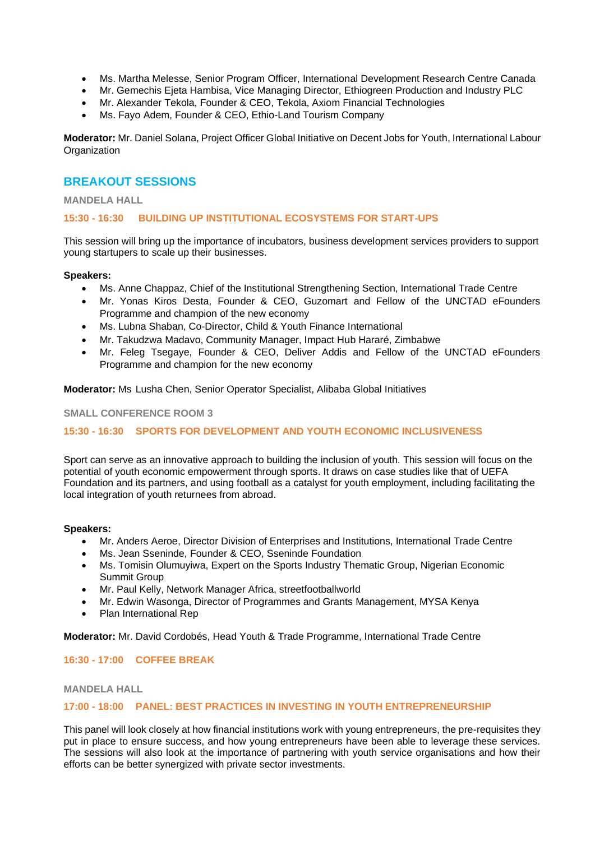- Ms. Martha Melesse, Senior Program Officer, International Development Research Centre Canada
- Mr. Gemechis Ejeta Hambisa, Vice Managing Director, Ethiogreen Production and Industry PLC
- Mr. Alexander Tekola, Founder & CEO, Tekola, Axiom Financial Technologies
- Ms. Fayo Adem, Founder & CEO, Ethio-Land Tourism Company

**Moderator:** Mr. Daniel Solana, Project Officer Global Initiative on Decent Jobs for Youth, International Labour **Organization** 

# **BREAKOUT SESSIONS**

### **MANDELA HALL**

# **15:30 - 16:30 BUILDING UP INSTITUTIONAL ECOSYSTEMS FOR START-UPS**

This session will bring up the importance of incubators, business development services providers to support young startupers to scale up their businesses.

### **Speakers:**

- Ms. Anne Chappaz, Chief of the Institutional Strengthening Section, International Trade Centre
- Mr. Yonas Kiros Desta, Founder & CEO, Guzomart and Fellow of the UNCTAD eFounders Programme and champion of the new economy
- Ms. Lubna Shaban, Co-Director, Child & Youth Finance International
- Mr. Takudzwa Madavo, Community Manager, Impact Hub Hararé, Zimbabwe
- Mr. Feleg Tsegaye, Founder & CEO, Deliver Addis and Fellow of the UNCTAD eFounders Programme and champion for the new economy

**Moderator:** Ms Lusha Chen, Senior Operator Specialist, Alibaba Global Initiatives

### **SMALL CONFERENCE ROOM 3**

# **15:30 - 16:30 SPORTS FOR DEVELOPMENT AND YOUTH ECONOMIC INCLUSIVENESS**

Sport can serve as an innovative approach to building the inclusion of youth. This session will focus on the potential of youth economic empowerment through sports. It draws on case studies like that of UEFA Foundation and its partners, and using football as a catalyst for youth employment, including facilitating the local integration of youth returnees from abroad.

### **Speakers:**

- Mr. Anders Aeroe, Director Division of Enterprises and Institutions, International Trade Centre
- Ms. Jean Sseninde, Founder & CEO, Sseninde Foundation
- Ms. Tomisin Olumuyiwa, Expert on the Sports Industry Thematic Group, Nigerian Economic Summit Group
- Mr. Paul Kelly, Network Manager Africa, streetfootballworld
- Mr. Edwin Wasonga, Director of Programmes and Grants Management, MYSA Kenya
- Plan International Rep

**Moderator:** Mr. David Cordobés, Head Youth & Trade Programme, International Trade Centre

### **16:30 - 17:00 COFFEE BREAK**

### **MANDELA HALL**

### **17:00 - 18:00 PANEL: BEST PRACTICES IN INVESTING IN YOUTH ENTREPRENEURSHIP**

This panel will look closely at how financial institutions work with young entrepreneurs, the pre-requisites they put in place to ensure success, and how young entrepreneurs have been able to leverage these services. The sessions will also look at the importance of partnering with youth service organisations and how their efforts can be better synergized with private sector investments.